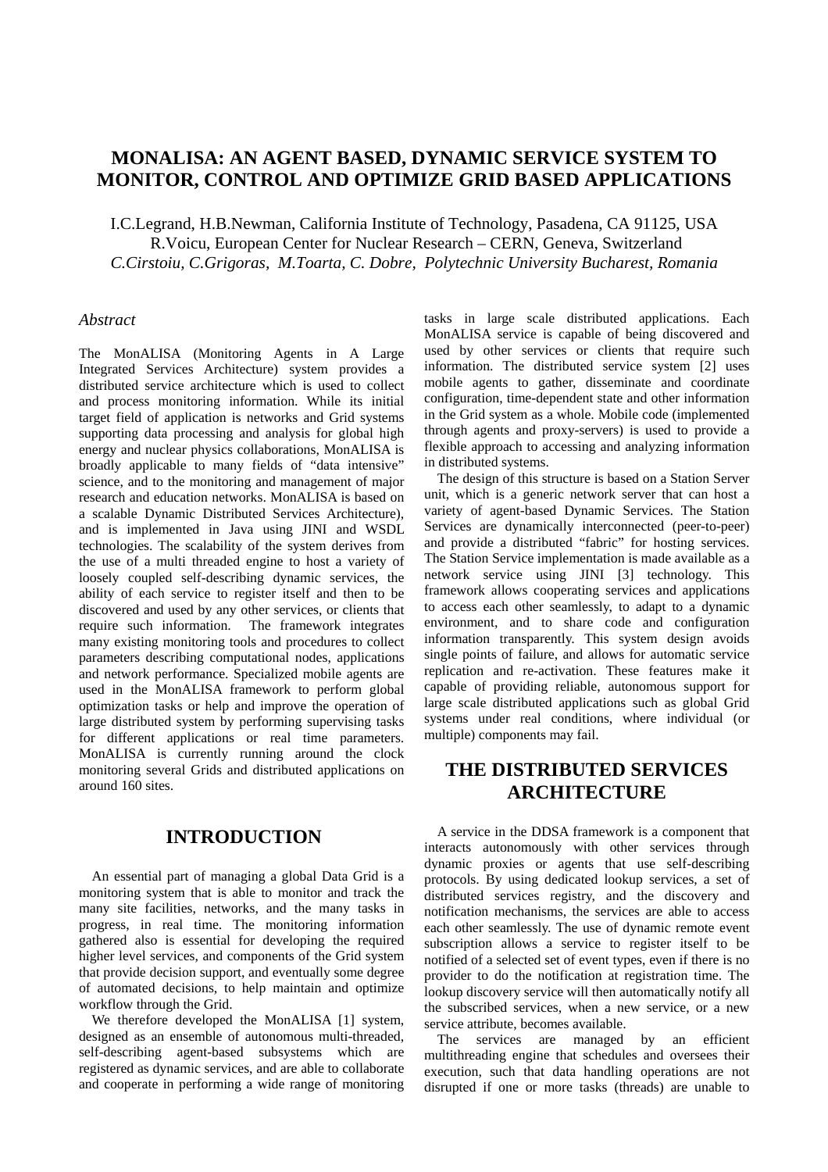# **MONALISA: AN AGENT BASED, DYNAMIC SERVICE SYSTEM TO MONITOR, CONTROL AND OPTIMIZE GRID BASED APPLICATIONS**

I.C.Legrand, H.B.Newman, California Institute of Technology, Pasadena, CA 91125, USA R.Voicu, European Center for Nuclear Research – CERN, Geneva, Switzerland *C.Cirstoiu, C.Grigoras, M.Toarta, C. Dobre, Polytechnic University Bucharest, Romania* 

#### *Abstract*

The MonALISA (Monitoring Agents in A Large Integrated Services Architecture) system provides a distributed service architecture which is used to collect and process monitoring information. While its initial target field of application is networks and Grid systems supporting data processing and analysis for global high energy and nuclear physics collaborations, MonALISA is broadly applicable to many fields of "data intensive" science, and to the monitoring and management of major research and education networks. MonALISA is based on a scalable Dynamic Distributed Services Architecture), and is implemented in Java using JINI and WSDL technologies. The scalability of the system derives from the use of a multi threaded engine to host a variety of loosely coupled self-describing dynamic services, the ability of each service to register itself and then to be discovered and used by any other services, or clients that require such information. The framework integrates many existing monitoring tools and procedures to collect parameters describing computational nodes, applications and network performance. Specialized mobile agents are used in the MonALISA framework to perform global optimization tasks or help and improve the operation of large distributed system by performing supervising tasks for different applications or real time parameters. MonALISA is currently running around the clock monitoring several Grids and distributed applications on around 160 sites.

## **INTRODUCTION**

An essential part of managing a global Data Grid is a monitoring system that is able to monitor and track the many site facilities, networks, and the many tasks in progress, in real time. The monitoring information gathered also is essential for developing the required higher level services, and components of the Grid system that provide decision support, and eventually some degree of automated decisions, to help maintain and optimize workflow through the Grid.

We therefore developed the MonALISA [1] system, designed as an ensemble of autonomous multi-threaded, self-describing agent-based subsystems which are registered as dynamic services, and are able to collaborate and cooperate in performing a wide range of monitoring

tasks in large scale distributed applications. Each MonALISA service is capable of being discovered and used by other services or clients that require such information. The distributed service system [2] uses mobile agents to gather, disseminate and coordinate configuration, time-dependent state and other information in the Grid system as a whole. Mobile code (implemented through agents and proxy-servers) is used to provide a flexible approach to accessing and analyzing information in distributed systems.

The design of this structure is based on a Station Server unit, which is a generic network server that can host a variety of agent-based Dynamic Services. The Station Services are dynamically interconnected (peer-to-peer) and provide a distributed "fabric" for hosting services. The Station Service implementation is made available as a network service using JINI [3] technology. This framework allows cooperating services and applications to access each other seamlessly, to adapt to a dynamic environment, and to share code and configuration information transparently. This system design avoids single points of failure, and allows for automatic service replication and re-activation. These features make it capable of providing reliable, autonomous support for large scale distributed applications such as global Grid systems under real conditions, where individual (or multiple) components may fail.

# **THE DISTRIBUTED SERVICES ARCHITECTURE**

A service in the DDSA framework is a component that interacts autonomously with other services through dynamic proxies or agents that use self-describing protocols. By using dedicated lookup services, a set of distributed services registry, and the discovery and notification mechanisms, the services are able to access each other seamlessly. The use of dynamic remote event subscription allows a service to register itself to be notified of a selected set of event types, even if there is no provider to do the notification at registration time. The lookup discovery service will then automatically notify all the subscribed services, when a new service, or a new service attribute, becomes available.

The services are managed by an efficient multithreading engine that schedules and oversees their execution, such that data handling operations are not disrupted if one or more tasks (threads) are unable to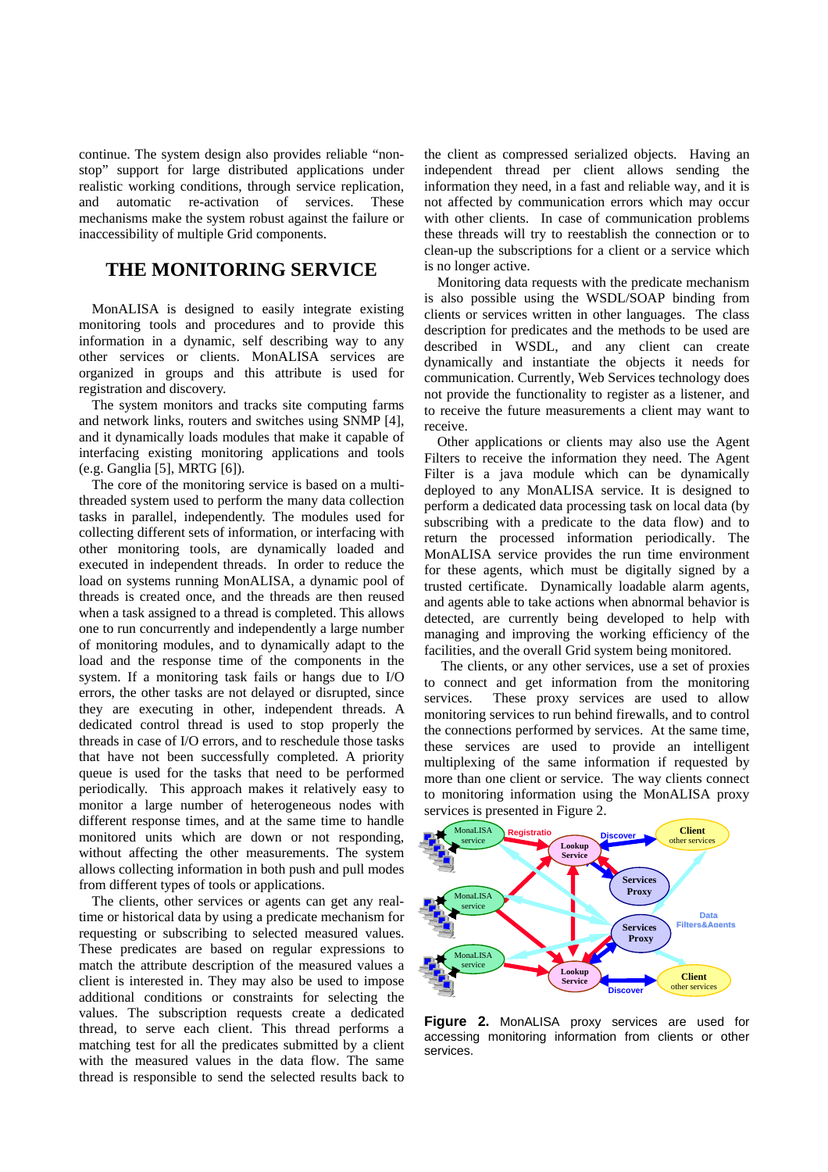continue. The system design also provides reliable "nonstop" support for large distributed applications under realistic working conditions, through service replication, and automatic re-activation of services. These mechanisms make the system robust against the failure or inaccessibility of multiple Grid components.

#### **THE MONITORING SERVICE**

MonALISA is designed to easily integrate existing monitoring tools and procedures and to provide this information in a dynamic, self describing way to any other services or clients. MonALISA services are organized in groups and this attribute is used for registration and discovery.

The system monitors and tracks site computing farms and network links, routers and switches using SNMP [4], and it dynamically loads modules that make it capable of interfacing existing monitoring applications and tools (e.g. Ganglia [5], MRTG [6]).

The core of the monitoring service is based on a multithreaded system used to perform the many data collection tasks in parallel, independently. The modules used for collecting different sets of information, or interfacing with other monitoring tools, are dynamically loaded and executed in independent threads. In order to reduce the load on systems running MonALISA, a dynamic pool of threads is created once, and the threads are then reused when a task assigned to a thread is completed. This allows one to run concurrently and independently a large number of monitoring modules, and to dynamically adapt to the load and the response time of the components in the system. If a monitoring task fails or hangs due to I/O errors, the other tasks are not delayed or disrupted, since they are executing in other, independent threads. A dedicated control thread is used to stop properly the threads in case of I/O errors, and to reschedule those tasks that have not been successfully completed. A priority queue is used for the tasks that need to be performed periodically. This approach makes it relatively easy to monitor a large number of heterogeneous nodes with different response times, and at the same time to handle monitored units which are down or not responding, without affecting the other measurements. The system allows collecting information in both push and pull modes from different types of tools or applications.

The clients, other services or agents can get any realtime or historical data by using a predicate mechanism for requesting or subscribing to selected measured values. These predicates are based on regular expressions to match the attribute description of the measured values a client is interested in. They may also be used to impose additional conditions or constraints for selecting the values. The subscription requests create a dedicated thread, to serve each client. This thread performs a matching test for all the predicates submitted by a client with the measured values in the data flow. The same thread is responsible to send the selected results back to

the client as compressed serialized objects. Having an independent thread per client allows sending the information they need, in a fast and reliable way, and it is not affected by communication errors which may occur with other clients. In case of communication problems these threads will try to reestablish the connection or to clean-up the subscriptions for a client or a service which is no longer active.

Monitoring data requests with the predicate mechanism is also possible using the WSDL/SOAP binding from clients or services written in other languages. The class description for predicates and the methods to be used are described in WSDL, and any client can create dynamically and instantiate the objects it needs for communication. Currently, Web Services technology does not provide the functionality to register as a listener, and to receive the future measurements a client may want to receive.

Other applications or clients may also use the Agent Filters to receive the information they need. The Agent Filter is a java module which can be dynamically deployed to any MonALISA service. It is designed to perform a dedicated data processing task on local data (by subscribing with a predicate to the data flow) and to return the processed information periodically. The MonALISA service provides the run time environment for these agents, which must be digitally signed by a trusted certificate. Dynamically loadable alarm agents, and agents able to take actions when abnormal behavior is detected, are currently being developed to help with managing and improving the working efficiency of the facilities, and the overall Grid system being monitored.

The clients, or any other services, use a set of proxies to connect and get information from the monitoring services. These proxy services are used to allow monitoring services to run behind firewalls, and to control the connections performed by services. At the same time, these services are used to provide an intelligent multiplexing of the same information if requested by more than one client or service. The way clients connect to monitoring information using the MonALISA proxy services is presented in Figure 2.



**Figure 2.** MonALISA proxy services are used for accessing monitoring information from clients or other services.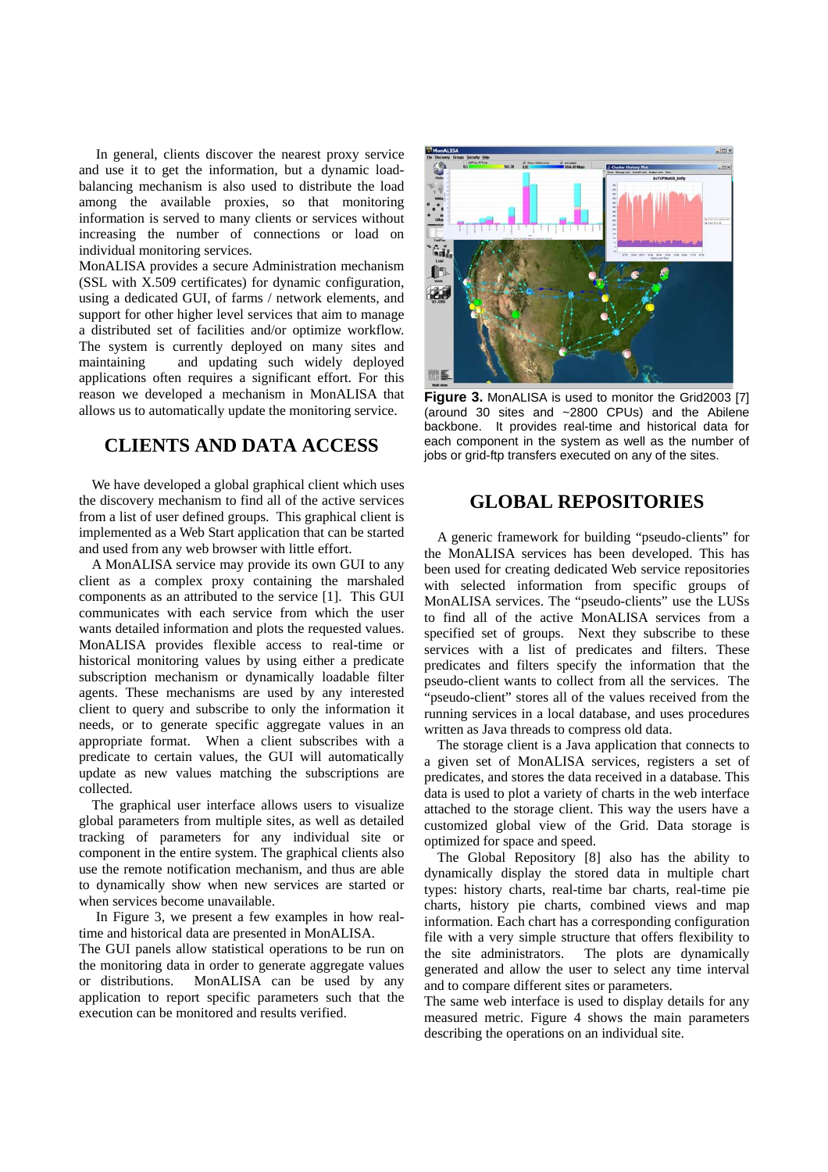In general, clients discover the nearest proxy service and use it to get the information, but a dynamic loadbalancing mechanism is also used to distribute the load among the available proxies, so that monitoring information is served to many clients or services without increasing the number of connections or load on individual monitoring services.

MonALISA provides a secure Administration mechanism (SSL with X.509 certificates) for dynamic configuration, using a dedicated GUI, of farms / network elements, and support for other higher level services that aim to manage a distributed set of facilities and/or optimize workflow. The system is currently deployed on many sites and maintaining and updating such widely deployed applications often requires a significant effort. For this reason we developed a mechanism in MonALISA that allows us to automatically update the monitoring service.

## **CLIENTS AND DATA ACCESS**

We have developed a global graphical client which uses the discovery mechanism to find all of the active services from a list of user defined groups. This graphical client is implemented as a Web Start application that can be started and used from any web browser with little effort.

A MonALISA service may provide its own GUI to any client as a complex proxy containing the marshaled components as an attributed to the service [1]. This GUI communicates with each service from which the user wants detailed information and plots the requested values. MonALISA provides flexible access to real-time or historical monitoring values by using either a predicate subscription mechanism or dynamically loadable filter agents. These mechanisms are used by any interested client to query and subscribe to only the information it needs, or to generate specific aggregate values in an appropriate format. When a client subscribes with a predicate to certain values, the GUI will automatically update as new values matching the subscriptions are collected.

The graphical user interface allows users to visualize global parameters from multiple sites, as well as detailed tracking of parameters for any individual site or component in the entire system. The graphical clients also use the remote notification mechanism, and thus are able to dynamically show when new services are started or when services become unavailable.

In Figure 3, we present a few examples in how realtime and historical data are presented in MonALISA.

The GUI panels allow statistical operations to be run on the monitoring data in order to generate aggregate values or distributions. MonALISA can be used by any application to report specific parameters such that the execution can be monitored and results verified.



**Figure 3.** MonALISA is used to monitor the Grid2003 [7] (around 30 sites and ~2800 CPUs) and the Abilene backbone. It provides real-time and historical data for each component in the system as well as the number of jobs or grid-ftp transfers executed on any of the sites.

#### **GLOBAL REPOSITORIES**

A generic framework for building "pseudo-clients" for the MonALISA services has been developed. This has been used for creating dedicated Web service repositories with selected information from specific groups of MonALISA services. The "pseudo-clients" use the LUSs to find all of the active MonALISA services from a specified set of groups. Next they subscribe to these services with a list of predicates and filters. These predicates and filters specify the information that the pseudo-client wants to collect from all the services. The "pseudo-client" stores all of the values received from the running services in a local database, and uses procedures written as Java threads to compress old data.

The storage client is a Java application that connects to a given set of MonALISA services, registers a set of predicates, and stores the data received in a database. This data is used to plot a variety of charts in the web interface attached to the storage client. This way the users have a customized global view of the Grid. Data storage is optimized for space and speed.

The Global Repository [8] also has the ability to dynamically display the stored data in multiple chart types: history charts, real-time bar charts, real-time pie charts, history pie charts, combined views and map information. Each chart has a corresponding configuration file with a very simple structure that offers flexibility to the site administrators. The plots are dynamically generated and allow the user to select any time interval and to compare different sites or parameters.

The same web interface is used to display details for any measured metric. Figure 4 shows the main parameters describing the operations on an individual site.